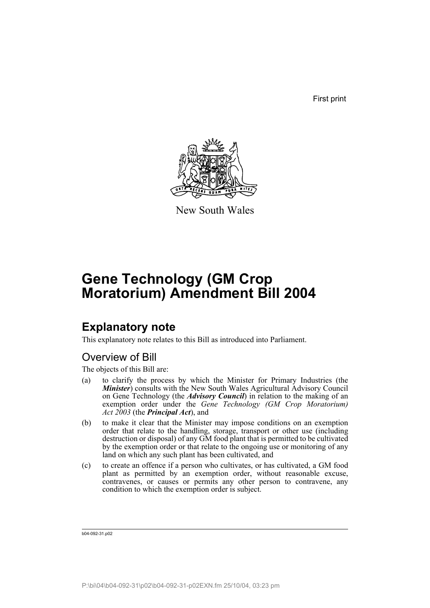First print



New South Wales

# **Gene Technology (GM Crop Moratorium) Amendment Bill 2004**

## **Explanatory note**

This explanatory note relates to this Bill as introduced into Parliament.

## Overview of Bill

The objects of this Bill are:

- (a) to clarify the process by which the Minister for Primary Industries (the *Minister*) consults with the New South Wales Agricultural Advisory Council on Gene Technology (the *Advisory Council*) in relation to the making of an exemption order under the *Gene Technology (GM Crop Moratorium) Act 2003* (the *Principal Act*), and
- (b) to make it clear that the Minister may impose conditions on an exemption order that relate to the handling, storage, transport or other use (including destruction or disposal) of any GM food plant that is permitted to be cultivated by the exemption order or that relate to the ongoing use or monitoring of any land on which any such plant has been cultivated, and
- (c) to create an offence if a person who cultivates, or has cultivated, a GM food plant as permitted by an exemption order, without reasonable excuse, contravenes, or causes or permits any other person to contravene, any condition to which the exemption order is subject.

b04-092-31.p02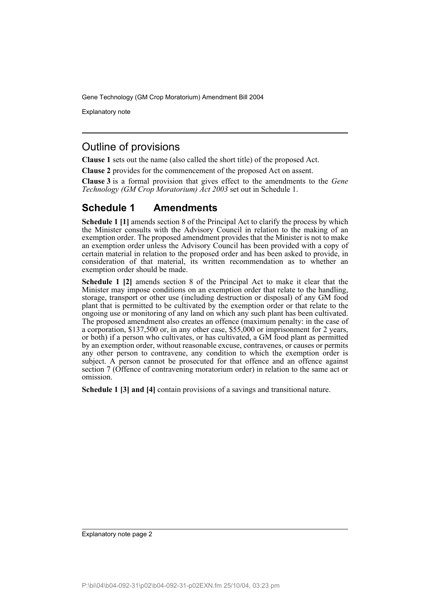Explanatory note

### Outline of provisions

**Clause 1** sets out the name (also called the short title) of the proposed Act.

**Clause 2** provides for the commencement of the proposed Act on assent.

**Clause 3** is a formal provision that gives effect to the amendments to the *Gene Technology (GM Crop Moratorium) Act 2003* set out in Schedule 1.

## **Schedule 1 Amendments**

**Schedule 1 [1]** amends section 8 of the Principal Act to clarify the process by which the Minister consults with the Advisory Council in relation to the making of an exemption order. The proposed amendment provides that the Minister is not to make an exemption order unless the Advisory Council has been provided with a copy of certain material in relation to the proposed order and has been asked to provide, in consideration of that material, its written recommendation as to whether an exemption order should be made.

**Schedule 1 [2]** amends section 8 of the Principal Act to make it clear that the Minister may impose conditions on an exemption order that relate to the handling, storage, transport or other use (including destruction or disposal) of any GM food plant that is permitted to be cultivated by the exemption order or that relate to the ongoing use or monitoring of any land on which any such plant has been cultivated. The proposed amendment also creates an offence (maximum penalty: in the case of a corporation, \$137,500 or, in any other case, \$55,000 or imprisonment for 2 years, or both) if a person who cultivates, or has cultivated, a GM food plant as permitted by an exemption order, without reasonable excuse, contravenes, or causes or permits any other person to contravene, any condition to which the exemption order is subject. A person cannot be prosecuted for that offence and an offence against section 7 (Offence of contravening moratorium order) in relation to the same act or omission.

**Schedule 1 [3] and [4]** contain provisions of a savings and transitional nature.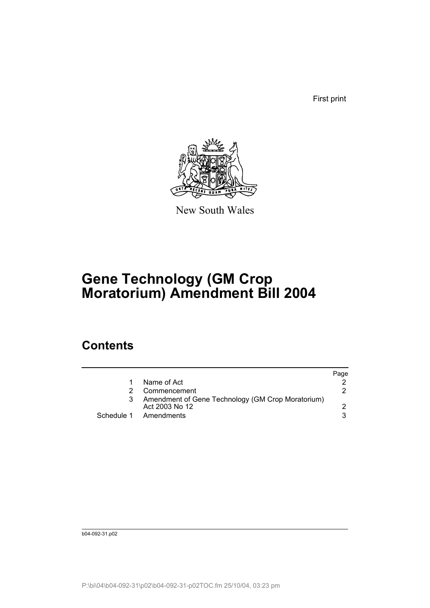First print



New South Wales

# **Gene Technology (GM Crop Moratorium) Amendment Bill 2004**

## **Contents**

|   |                                                                     | Page |
|---|---------------------------------------------------------------------|------|
|   | Name of Act                                                         |      |
|   | Commencement                                                        | 2    |
| 3 | Amendment of Gene Technology (GM Crop Moratorium)<br>Act 2003 No 12 |      |
|   | Schedule 1 Amendments                                               |      |

b04-092-31.p02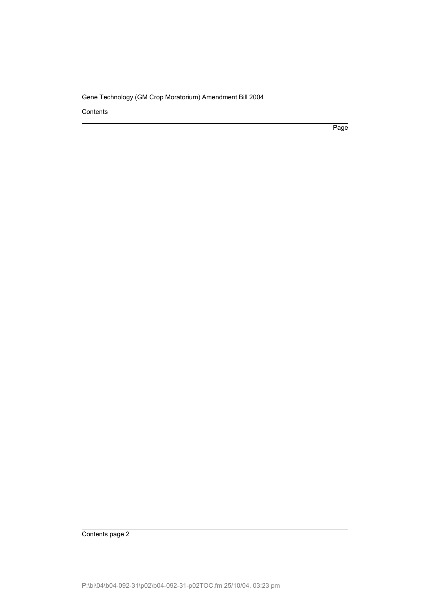**Contents** 

Page

Contents page 2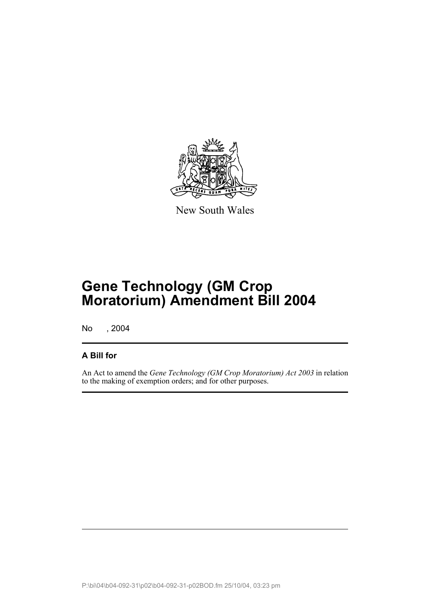

New South Wales

# **Gene Technology (GM Crop Moratorium) Amendment Bill 2004**

No , 2004

### **A Bill for**

An Act to amend the *Gene Technology (GM Crop Moratorium) Act 2003* in relation to the making of exemption orders; and for other purposes.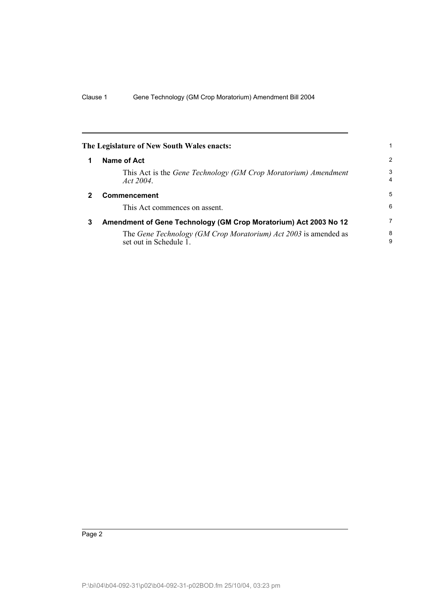|   | The Legislature of New South Wales enacts:                                                |                     |
|---|-------------------------------------------------------------------------------------------|---------------------|
| 1 | <b>Name of Act</b>                                                                        | $\overline{2}$      |
|   | This Act is the Gene Technology (GM Crop Moratorium) Amendment<br>Act 2004                | 3<br>$\overline{4}$ |
| 2 | <b>Commencement</b>                                                                       | 5                   |
|   | This Act commences on assent.                                                             | 6                   |
| 3 | Amendment of Gene Technology (GM Crop Moratorium) Act 2003 No 12                          | 7                   |
|   | The Gene Technology (GM Crop Moratorium) Act 2003 is amended as<br>set out in Schedule 1. | 8<br>9              |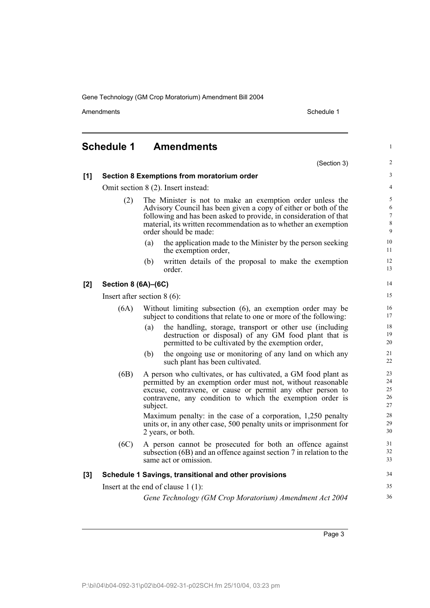Amendments **Schedule 1** and the set of the set of the set of the set of the set of the set of the set of the set of the set of the set of the set of the set of the set of the set of the set of the set of the set of the set

## **Schedule 1 Amendments**

(Section 3)

34 35 36

1

 $\overline{2}$ 

**[1] Section 8 Exemptions from moratorium order**

#### Omit section 8 (2). Insert instead:

- (2) The Minister is not to make an exemption order unless the Advisory Council has been given a copy of either or both of the following and has been asked to provide, in consideration of that material, its written recommendation as to whether an exemption order should be made:
	- (a) the application made to the Minister by the person seeking the exemption order,
	- (b) written details of the proposal to make the exemption order.

#### **[2] Section 8 (6A)–(6C)**

Insert after section 8 (6):

- (6A) Without limiting subsection (6), an exemption order may be subject to conditions that relate to one or more of the following:
	- (a) the handling, storage, transport or other use (including destruction or disposal) of any GM food plant that is permitted to be cultivated by the exemption order,
	- (b) the ongoing use or monitoring of any land on which any such plant has been cultivated.
- (6B) A person who cultivates, or has cultivated, a GM food plant as permitted by an exemption order must not, without reasonable excuse, contravene, or cause or permit any other person to contravene, any condition to which the exemption order is subject. Maximum penalty: in the case of a corporation, 1,250 penalty

units or, in any other case, 500 penalty units or imprisonment for 2 years, or both.

(6C) A person cannot be prosecuted for both an offence against subsection (6B) and an offence against section 7 in relation to the same act or omission.

#### **[3] Schedule 1 Savings, transitional and other provisions**

Insert at the end of clause 1 (1):

*Gene Technology (GM Crop Moratorium) Amendment Act 2004*

Page 3